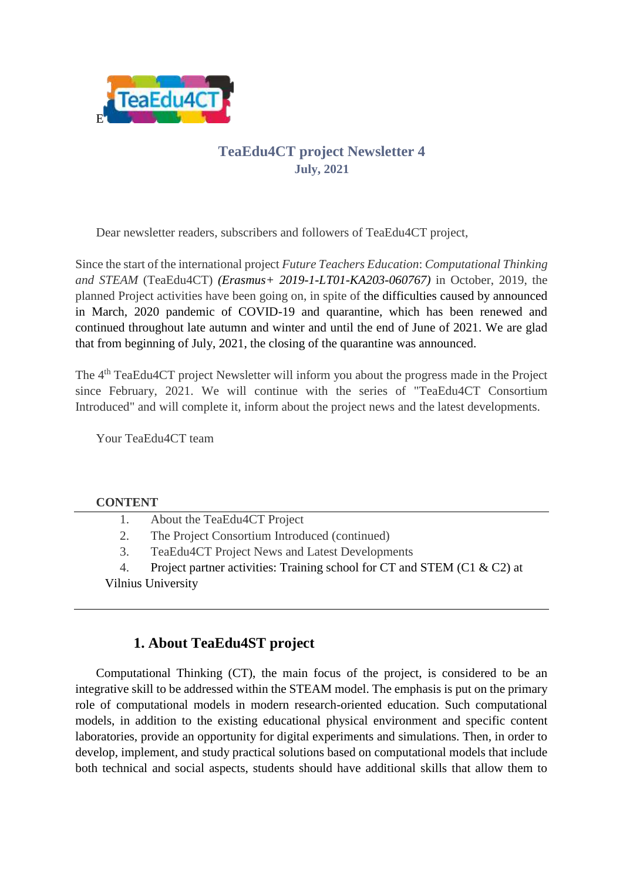

### **TeaEdu4CT project Newsletter 4 July, 2021**

Dear newsletter readers, subscribers and followers of TeaEdu4CT project,

Since the start of the international project *Future Teachers Education*: *Computational Thinking and STEAM* (TeaEdu4CT) *(Erasmus+ 2019-1-LT01-KA203-060767)* in October, 2019, the planned Project activities have been going on, in spite of the difficulties caused by announced in March, 2020 pandemic of COVID-19 and quarantine, which has been renewed and continued throughout late autumn and winter and until the end of June of 2021. We are glad that from beginning of July, 2021, the closing of the quarantine was announced.

The 4<sup>th</sup> TeaEdu4CT project Newsletter will inform you about the progress made in the Project since February, 2021. We will continue with the series of "TeaEdu4CT Consortium Introduced" and will complete it, inform about the project news and the latest developments.

Your TeaEdu4CT team

#### **CONTENT**

| 1. | About the TeaEdu4CT Project |  |
|----|-----------------------------|--|
|----|-----------------------------|--|

2. The Project Consortium Introduced (continued)

3. TeaEdu4CT Project News and Latest Developments

4. Project partner activities: Training school for CT and STEM (C1 & C2) at

Vilnius University

# **1. About TeaEdu4ST project**

Computational Thinking (CT), the main focus of the project, is considered to be an integrative skill to be addressed within the STEAM model. The emphasis is put on the primary role of computational models in modern research-oriented education. Such computational models, in addition to the existing educational physical environment and specific content laboratories, provide an opportunity for digital experiments and simulations. Then, in order to develop, implement, and study practical solutions based on computational models that include both technical and social aspects, students should have additional skills that allow them to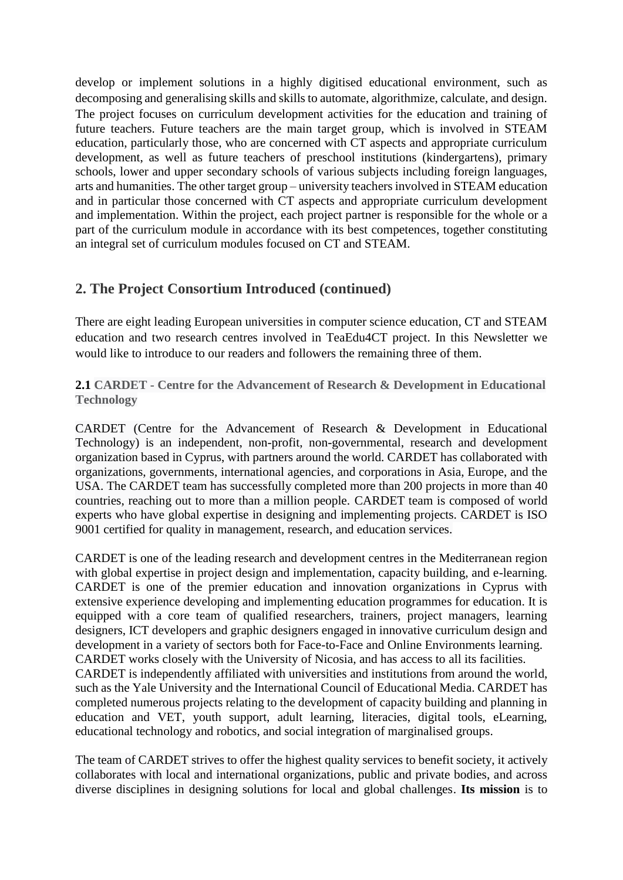develop or implement solutions in a highly digitised educational environment, such as decomposing and generalising skills and skills to automate, algorithmize, calculate, and design. The project focuses on curriculum development activities for the education and training of future teachers. Future teachers are the main target group, which is involved in STEAM education, particularly those, who are concerned with CT aspects and appropriate curriculum development, as well as future teachers of preschool institutions (kindergartens), primary schools, lower and upper secondary schools of various subjects including foreign languages, arts and humanities. The other target group – university teachers involved in STEAM education and in particular those concerned with CT aspects and appropriate curriculum development and implementation. Within the project, each project partner is responsible for the whole or a part of the curriculum module in accordance with its best competences, together constituting an integral set of curriculum modules focused on CT and STEAM.

### **2. The Project Consortium Introduced (continued)**

There are eight leading European universities in computer science education, CT and STEAM education and two research centres involved in TeaEdu4CT project. In this Newsletter we would like to introduce to our readers and followers the remaining three of them.

**2.1 CARDET - Centre for the Advancement of Research & Development in Educational Technology**

CARDET (Centre for the Advancement of Research & Development in Educational Technology) is an independent, non-profit, non-governmental, research and development organization based in Cyprus, with partners around the world. CARDET has collaborated with organizations, governments, international agencies, and corporations in Asia, Europe, and the USA. The CARDET team has successfully completed more than 200 projects in more than 40 countries, reaching out to more than a million people. CARDET team is composed of world experts who have global expertise in designing and implementing projects. CARDET is ISO 9001 certified for quality in management, research, and education services.

CARDET is one of the leading research and development centres in the Mediterranean region with global expertise in project design and implementation, capacity building, and e-learning. CARDET is one of the premier education and innovation organizations in Cyprus with extensive experience developing and implementing education programmes for education. It is equipped with a core team of qualified researchers, trainers, project managers, learning designers, ICT developers and graphic designers engaged in innovative curriculum design and development in a variety of sectors both for Face-to-Face and Online Environments learning. CARDET works closely with the University of Nicosia, and has access to all its facilities. CARDET is independently affiliated with universities and institutions from around the world, such as the Yale University and the International Council of Educational Media. CARDET has completed numerous projects relating to the development of capacity building and planning in education and VET, youth support, adult learning, literacies, digital tools, eLearning, educational technology and robotics, and social integration of marginalised groups.

The team of CARDET strives to offer the highest quality services to benefit society, it actively collaborates with local and international organizations, public and private bodies, and across diverse disciplines in designing solutions for local and global challenges. **Its mission** is to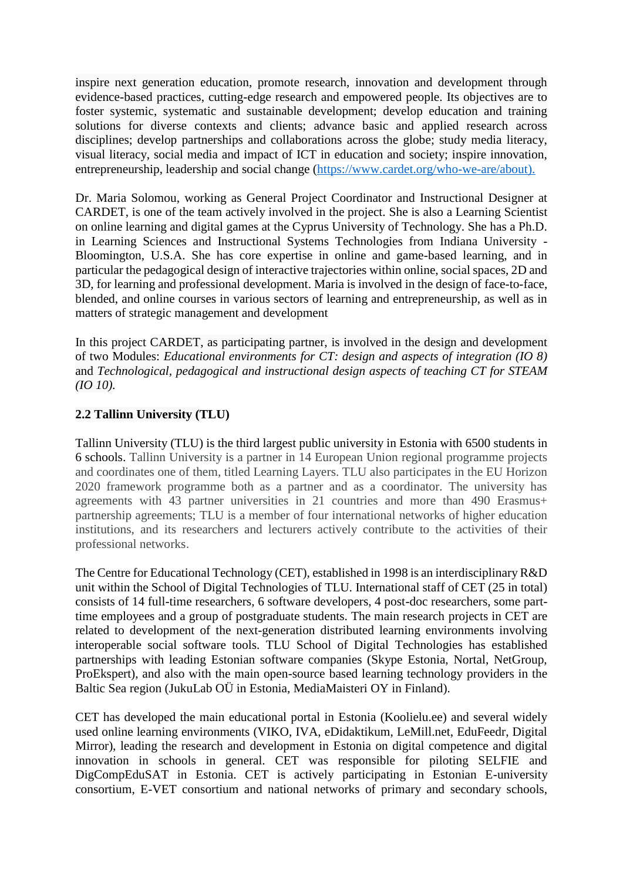inspire next generation education, promote research, innovation and development through evidence-based practices, cutting-edge research and empowered people. Its objectives are to foster systemic, systematic and sustainable development; develop education and training solutions for diverse contexts and clients; advance basic and applied research across disciplines; develop partnerships and collaborations across the globe; study media literacy, visual literacy, social media and impact of ICT in education and society; inspire innovation, entrepreneurship, leadership and social change [\(https://www.cardet.org/who-we-are/about\)](https://www.cardet.org/who-we-are/about).

Dr. Maria Solomou, working as General Project Coordinator and Instructional Designer at CARDET, is one of the team actively involved in the project. She is also a Learning Scientist on online learning and digital games at the Cyprus University of Technology. She has a Ph.D. in Learning Sciences and Instructional Systems Technologies from Indiana University - Bloomington, U.S.A. She has core expertise in online and game-based learning, and in particular the pedagogical design of interactive trajectories within online, social spaces, 2D and 3D, for learning and professional development. Maria is involved in the design of face-to-face, blended, and online courses in various sectors of learning and entrepreneurship, as well as in matters of strategic management and development

In this project CARDET, as participating partner, is involved in the design and development of two Modules: *Educational environments for CT: design and aspects of integration (IO 8)* and *Technological, pedagogical and instructional design aspects of teaching CT for STEAM (IO 10).*

#### **2.2 Tallinn University (TLU)**

Tallinn University (TLU) is the third largest public university in Estonia with 6500 students in 6 schools. Tallinn University is a partner in 14 European Union regional programme projects and coordinates one of them, titled Learning Layers. TLU also participates in the EU Horizon 2020 framework programme both as a partner and as a coordinator. The university has agreements with 43 partner universities in 21 countries and more than 490 Erasmus+ partnership agreements; TLU is a member of four international networks of higher education institutions, and its researchers and lecturers actively contribute to the activities of their professional networks.

The Centre for Educational Technology (CET), established in 1998 is an interdisciplinary R&D unit within the School of Digital Technologies of TLU. International staff of CET (25 in total) consists of 14 full-time researchers, 6 software developers, 4 post-doc researchers, some parttime employees and a group of postgraduate students. The main research projects in CET are related to development of the next-generation distributed learning environments involving interoperable social software tools. TLU School of Digital Technologies has established partnerships with leading Estonian software companies (Skype Estonia, Nortal, NetGroup, ProEkspert), and also with the main open-source based learning technology providers in the Baltic Sea region (JukuLab OÜ in Estonia, MediaMaisteri OY in Finland).

CET has developed the main educational portal in Estonia (Koolielu.ee) and several widely used online learning environments (VIKO, IVA, eDidaktikum, LeMill.net, EduFeedr, Digital Mirror), leading the research and development in Estonia on digital competence and digital innovation in schools in general. CET was responsible for piloting SELFIE and DigCompEduSAT in Estonia. CET is actively participating in Estonian E-university consortium, E-VET consortium and national networks of primary and secondary schools,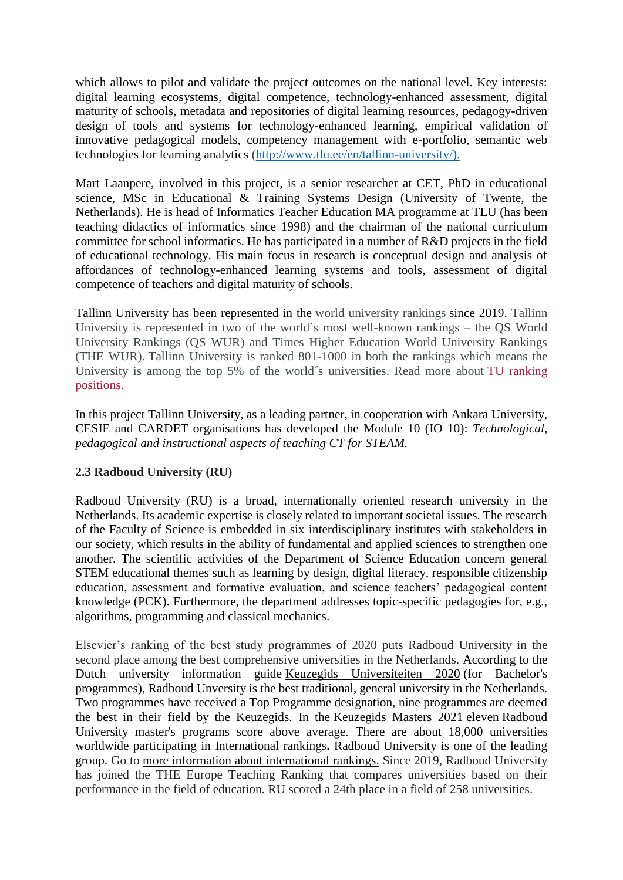which allows to pilot and validate the project outcomes on the national level. Key interests: digital learning ecosystems, digital competence, technology-enhanced assessment, digital maturity of schools, metadata and repositories of digital learning resources, pedagogy-driven design of tools and systems for technology-enhanced learning, empirical validation of innovative pedagogical models, competency management with e-portfolio, semantic web technologies for learning analytics [\(http://www.tlu.ee/en/tallinn-university/\)](http://www.tlu.ee/en/tallinn-university/).

Mart Laanpere, involved in this project, is a senior researcher at CET, PhD in educational science, MSc in Educational & Training Systems Design (University of Twente, the Netherlands). He is head of Informatics Teacher Education MA programme at TLU (has been teaching didactics of informatics since 1998) and the chairman of the national curriculum committee for school informatics. He has participated in a number of R&D projects in the field of educational technology. His main focus in research is conceptual design and analysis of affordances of technology-enhanced learning systems and tools, assessment of digital competence of teachers and digital maturity of schools.

Tallinn University has been represented in the world [university](https://www.tlu.ee/en/ranking-positions) rankings since 2019. Tallinn University is represented in two of the world´s most well-known rankings – the QS World University Rankings (QS WUR) and Times Higher Education World University Rankings (THE WUR). Tallinn University is ranked 801-1000 in both the rankings which means the University is among the top 5% of the world´s universities. Read more about TU [ranking](https://www.tlu.ee/en/ranking-positions) [positions.](https://www.tlu.ee/en/ranking-positions)

In this project Tallinn University, as a leading partner, in cooperation with Ankara University, CESIE and CARDET organisations has developed the Module 10 (IO 10): *Technological, pedagogical and instructional aspects of teaching CT for STEAM.*

#### **2.3 Radboud University (RU)**

Radboud University (RU) is a broad, internationally oriented research university in the Netherlands. Its academic expertise is closely related to important societal issues. The research of the Faculty of Science is embedded in six interdisciplinary institutes with stakeholders in our society, which results in the ability of fundamental and applied sciences to strengthen one another. The scientific activities of the Department of Science Education concern general STEM educational themes such as learning by design, digital literacy, responsible citizenship education, assessment and formative evaluation, and science teachers' pedagogical content knowledge (PCK). Furthermore, the department addresses topic-specific pedagogies for, e.g., algorithms, programming and classical mechanics.

Elsevier's ranking of the best study programmes of 2020 puts Radboud University in the second place among the best comprehensive universities in the Netherlands. According to the Dutch university information guide [Keuzegids Universiteiten 2020](https://www.ru.nl/english/news-agenda/news/vm/2019/keuzegids-2020-ba/) (for Bachelor's programmes), Radboud Unversity is the best traditional, general university in the Netherlands. Two programmes have received a Top Programme designation, nine programmes are deemed the best in their field by the Keuzegids. In the [Keuzegids Masters 2021](https://www.ru.nl/english/about-us/our-university/performance-indicators/vm/keuzegids-masters-2021/) eleven Radboud University master's programs score above average. There are about 18,000 universities worldwide participating in International rankings**.** Radboud University is one of the leading group. Go to [more information about international rankings.](https://www.ru.nl/english/about-us/our-university/performance-indicators/vm/position_internation/) Since 2019, Radboud University has joined the THE Europe Teaching Ranking that compares universities based on their performance in the field of education. RU scored a 24th place in a field of 258 universities.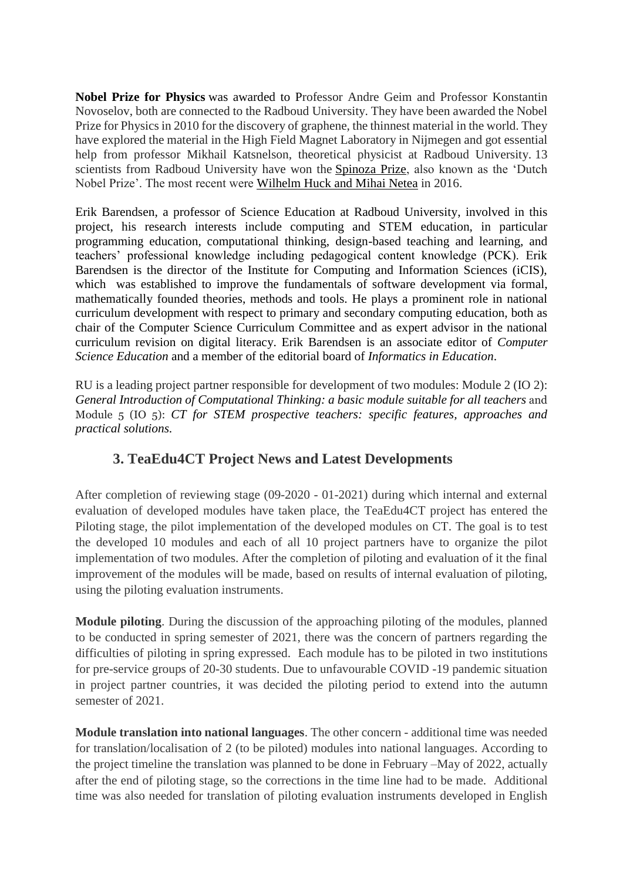**[Nobel Prize for Physics](https://www.ru.nl/english/research/prizes-achievements/nobel-prize-2010/)** was awarded to Professor Andre Geim and Professor Konstantin Novoselov, both are connected to the Radboud University. They have been awarded the Nobel Prize for Physics in 2010 for the discovery of graphene, the thinnest material in the world. They have explored the material in the High Field Magnet Laboratory in Nijmegen and got essential help from professor Mikhail Katsnelson, theoretical physicist at Radboud University. 13 scientists from Radboud University have won the [Spinoza Prize,](https://www.ru.nl/english/research/prizes-achievements/spinoza-prize-winners/) also known as the 'Dutch Nobel Prize'. The most recent were [Wilhelm Huck and Mihai Netea](https://www.ru.nl/english/news-agenda/news/vm/imm/2016/spinoza-prizes-won-wilhelm-huck-(chemistry)-mihai/) in 2016.

Erik Barendsen, a professor of Science Education at Radboud University, involved in this project, his research interests include computing and STEM education, in particular programming education, computational thinking, design-based teaching and learning, and teachers' professional knowledge including pedagogical content knowledge (PCK). Erik Barendsen is the director of the Institute for Computing and Information Sciences (iCIS), which was established to improve the fundamentals of software development via formal, mathematically founded theories, methods and tools. He plays a prominent role in national curriculum development with respect to primary and secondary computing education, both as chair of the Computer Science Curriculum Committee and as expert advisor in the national curriculum revision on digital literacy. Erik Barendsen is an associate editor of *Computer Science Education* and a member of the editorial board of *Informatics in Education*.

RU is a leading project partner responsible for development of two modules: Module 2 (IO 2): *General Introduction of Computational Thinking: a basic module suitable for all teachers* and Module 5 (IO 5): *CT for STEM prospective teachers: specific features, approaches and practical solutions.*

# **3. TeaEdu4CT Project News and Latest Developments**

After completion of reviewing stage (09-2020 - 01-2021) during which internal and external evaluation of developed modules have taken place, the TeaEdu4CT project has entered the Piloting stage, the pilot implementation of the developed modules on CT. The goal is to test the developed 10 modules and each of all 10 project partners have to organize the pilot implementation of two modules. After the completion of piloting and evaluation of it the final improvement of the modules will be made, based on results of internal evaluation of piloting, using the piloting evaluation instruments.

**Module piloting**. During the discussion of the approaching piloting of the modules, planned to be conducted in spring semester of 2021, there was the concern of partners regarding the difficulties of piloting in spring expressed. Each module has to be piloted in two institutions for pre-service groups of 20-30 students. Due to unfavourable COVID -19 pandemic situation in project partner countries, it was decided the piloting period to extend into the autumn semester of 2021.

**Module translation into national languages**. The other concern - additional time was needed for translation/localisation of 2 (to be piloted) modules into national languages. According to the project timeline the translation was planned to be done in February –May of 2022, actually after the end of piloting stage, so the corrections in the time line had to be made. Additional time was also needed for translation of piloting evaluation instruments developed in English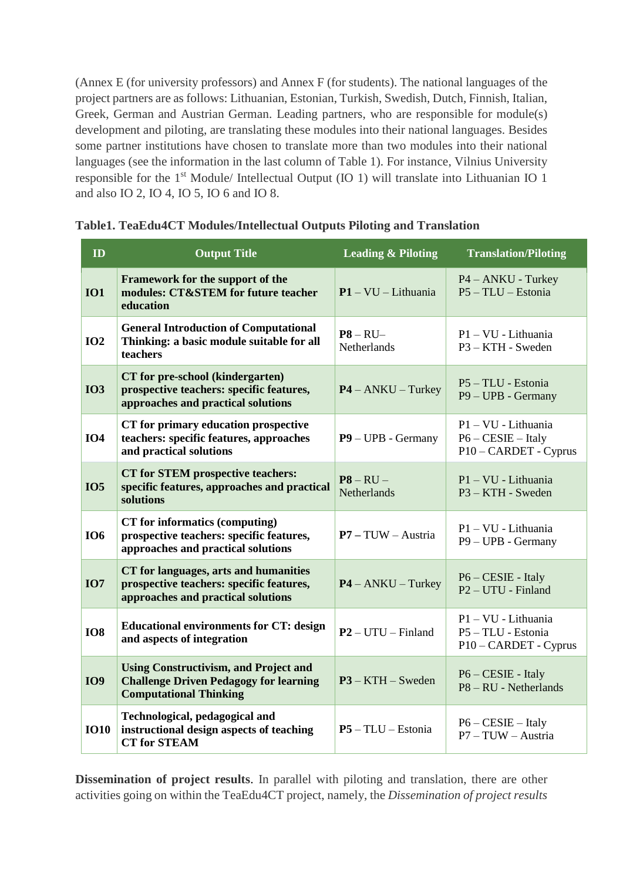(Annex E (for university professors) and Annex F (for students). The national languages of the project partners are as follows: Lithuanian, Estonian, Turkish, Swedish, Dutch, Finnish, Italian, Greek, German and Austrian German. Leading partners, who are responsible for module(s) development and piloting, are translating these modules into their national languages. Besides some partner institutions have chosen to translate more than two modules into their national languages (see the information in the last column of Table 1). For instance, Vilnius University responsible for the 1st Module/ Intellectual Output (IO 1) will translate into Lithuanian IO 1 and also IO 2, IO 4, IO 5, IO 6 and IO 8.

| ID          | <b>Output Title</b>                                                                                                            | <b>Leading &amp; Piloting</b>                | <b>Translation/Piloting</b>                                          |  |
|-------------|--------------------------------------------------------------------------------------------------------------------------------|----------------------------------------------|----------------------------------------------------------------------|--|
| <b>IO1</b>  | Framework for the support of the<br>modules: CT&STEM for future teacher<br>education                                           | $P1 - VU - Lithuania$                        | $P4 - ANKU - Turkey$<br>$P5 - TLU - Estonia$                         |  |
| IO2         | <b>General Introduction of Computational</b><br>Thinking: a basic module suitable for all<br>teachers                          | $P8 - RU -$<br><b>Netherlands</b>            | $P1 - VU - Lithuania$<br>$P3 - KTH - Sweden$                         |  |
| <b>IO3</b>  | CT for pre-school (kindergarten)<br>prospective teachers: specific features,<br>approaches and practical solutions             | $P4 - ANKU - Turkey$                         | P5 - TLU - Estonia<br>P9 – UPB - Germany                             |  |
| <b>IO4</b>  | CT for primary education prospective<br>teachers: specific features, approaches<br>and practical solutions                     | P9 - UPB - Germany                           | P1 - VU - Lithuania<br>$P6 - CESIE - Italy$<br>P10 - CARDET - Cyprus |  |
| <b>IO5</b>  | CT for STEM prospective teachers:<br>specific features, approaches and practical<br>solutions                                  | $\overline{P8 - RU}$ -<br><b>Netherlands</b> | P1 - VU - Lithuania<br>P3 - KTH - Sweden                             |  |
| <b>IO6</b>  | CT for informatics (computing)<br>prospective teachers: specific features,<br>approaches and practical solutions               | $P7 - TUW - Austria$                         | P1 - VU - Lithuania<br>P9 - UPB - Germany                            |  |
| <b>IO7</b>  | CT for languages, arts and humanities<br>prospective teachers: specific features,<br>approaches and practical solutions        | $P4 - ANKU - Turkey$                         | $P6 - CESIE - Italy$<br>P <sub>2</sub> – UTU - Finland               |  |
| <b>IO8</b>  | <b>Educational environments for CT: design</b><br>and aspects of integration                                                   | $P2 - UTU - Finland$                         | $P1 - VU$ - Lithuania<br>P5 - TLU - Estonia<br>P10 – CARDET - Cyprus |  |
| <b>IO9</b>  | <b>Using Constructivism, and Project and</b><br><b>Challenge Driven Pedagogy for learning</b><br><b>Computational Thinking</b> | $P3 - KTH - Sweden$                          | P6 - CESIE - Italy<br>$P8 - RU - Netherlands$                        |  |
| <b>IO10</b> | Technological, pedagogical and<br>instructional design aspects of teaching<br><b>CT</b> for STEAM                              | $P5 - TLU - Estonia$                         | $P6 - CESIE - Italy$<br>$P7 - TUW - Austria$                         |  |

| Table1. TeaEdu4CT Modules/Intellectual Outputs Piloting and Translation |  |  |  |  |  |  |
|-------------------------------------------------------------------------|--|--|--|--|--|--|
|-------------------------------------------------------------------------|--|--|--|--|--|--|

**Dissemination of project results**. In parallel with piloting and translation, there are other activities going on within the TeaEdu4CT project, namely, the *Dissemination of project results*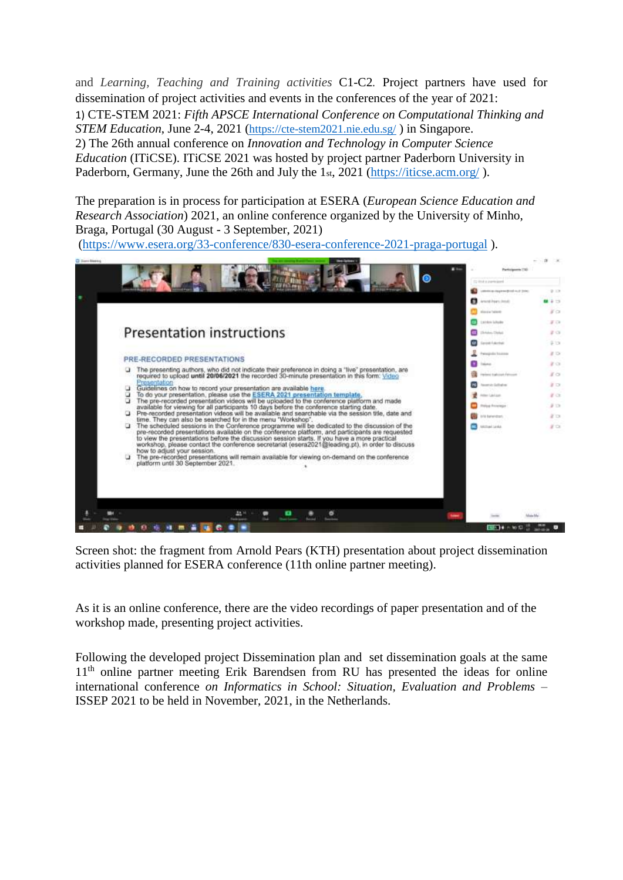and *Learning, Teaching and Training activities* C1-C2*.* Project partners have used for dissemination of project activities and events in the conferences of the year of 2021: 1) CTE-STEM 2021: *Fifth APSCE International Conference on Computational Thinking and STEM Education*, June 2-4, 2021 (<https://cte-stem2021.nie.edu.sg/> ) in Singapore. 2) The 26th annual conference on *Innovation and Technology in Computer Science Education* (ITiCSE). ITiCSE 2021 was hosted by project partner Paderborn University in Paderborn, Germany, June the 26th and July the 1st, 2021 [\(https://iticse.acm.org/](https://iticse.acm.org/)).

The preparation is in process for participation at ESERA (*European Science Education and Research Association*) 2021, an online conference organized by the University of Minho, Braga, Portugal (30 August - 3 September, 2021)

[\(https://www.esera.org/33-conference/830-esera-conference-2021-praga-portugal](https://www.esera.org/33-conference/830-esera-conference-2021-praga-portugal) ).



Screen shot: the fragment from Arnold Pears (KTH) presentation about project dissemination activities planned for ESERA conference (11th online partner meeting).

As it is an online conference, there are the video recordings of paper presentation and of the workshop made, presenting project activities.

Following the developed project Dissemination plan and set dissemination goals at the same 11<sup>th</sup> online partner meeting Erik Barendsen from RU has presented the ideas for online international conference *on Informatics in School: Situation, Evaluation and Problems* – ISSEP 2021 to be held in November, 2021, in the Netherlands.